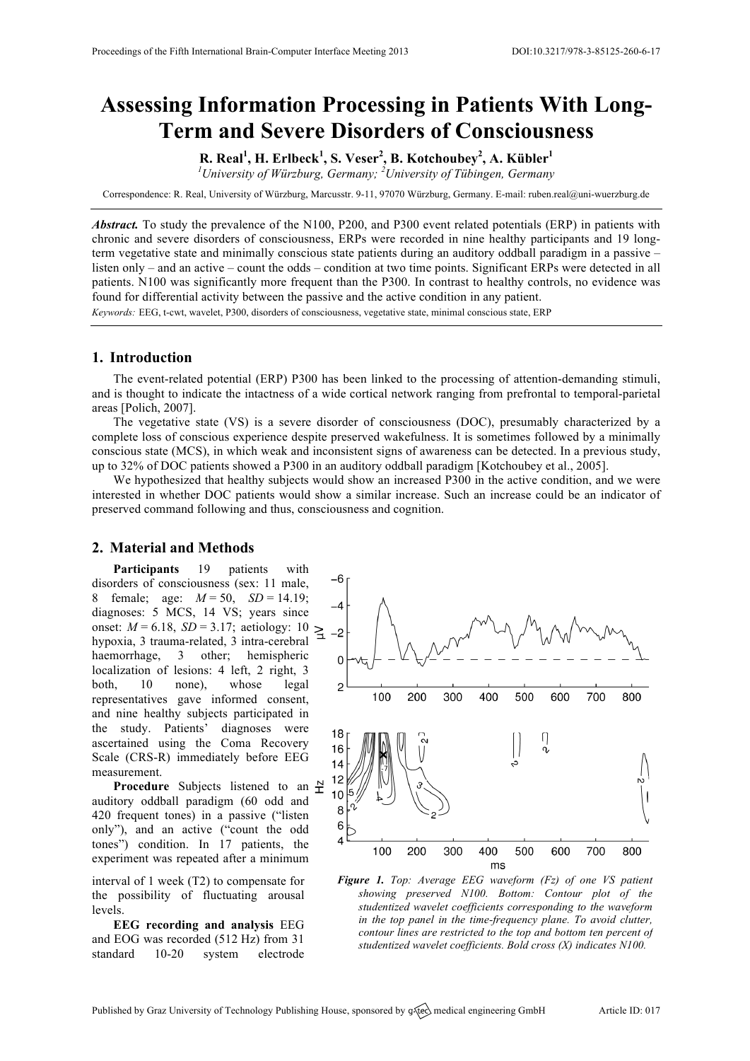# **Assessing Information Processing in Patients With Long-Term and Severe Disorders of Consciousness**

**R. Real<sup>1</sup> , H. Erlbeck<sup>1</sup> , S. Veser<sup>2</sup> , B. Kotchoubey<sup>2</sup> , A. Kübler<sup>1</sup>**

*1 University of Würzburg, Germany; <sup>2</sup> University of Tübingen, Germany*

Correspondence: R. Real, University of Würzburg, Marcusstr. 9-11, 97070 Würzburg, Germany. E-mail: ruben.real@uni-wuerzburg.de

*Abstract.* To study the prevalence of the N100, P200, and P300 event related potentials (ERP) in patients with chronic and severe disorders of consciousness, ERPs were recorded in nine healthy participants and 19 longterm vegetative state and minimally conscious state patients during an auditory oddball paradigm in a passive – listen only – and an active – count the odds – condition at two time points. Significant ERPs were detected in all patients. N100 was significantly more frequent than the P300. In contrast to healthy controls, no evidence was found for differential activity between the passive and the active condition in any patient.

*Keywords:* EEG, t-cwt, wavelet, P300, disorders of consciousness, vegetative state, minimal conscious state, ERP

# **1. Introduction**

The event-related potential (ERP) P300 has been linked to the processing of attention-demanding stimuli, and is thought to indicate the intactness of a wide cortical network ranging from prefrontal to temporal-parietal areas [Polich, 2007].

The vegetative state (VS) is a severe disorder of consciousness (DOC), presumably characterized by a complete loss of conscious experience despite preserved wakefulness. It is sometimes followed by a minimally conscious state (MCS), in which weak and inconsistent signs of awareness can be detected. In a previous study, up to 32% of DOC patients showed a P300 in an auditory oddball paradigm [Kotchoubey et al., 2005].

We hypothesized that healthy subjects would show an increased P300 in the active condition, and we were interested in whether DOC patients would show a similar increase. Such an increase could be an indicator of preserved command following and thus, consciousness and cognition.

### **2. Material and Methods**

**Participants** 19 patients with disorders of consciousness (sex: 11 male, 8 female; age: *M* = 50, *SD* = 14.19; diagnoses: 5 MCS, 14 VS; years since onset:  $M = 6.18$ ,  $SD = 3.17$ ; aetiology:  $10 \geq$ hypoxia, 3 trauma-related, 3 intra-cerebral haemorrhage, 3 other; hemispheric localization of lesions: 4 left, 2 right, 3 both, 10 none), whose legal representatives gave informed consent, and nine healthy subjects participated in the study. Patients' diagnoses were ascertained using the Coma Recovery Scale (CRS-R) immediately before EEG measurement.

**Procedure** Subjects listened to an  $\frac{N}{L}$ auditory oddball paradigm (60 odd and 420 frequent tones) in a passive ("listen only"), and an active ("count the odd tones") condition. In 17 patients, the experiment was repeated after a minimum

interval of 1 week (T2) to compensate for the possibility of fluctuating arousal levels.

**EEG recording and analysis** EEG and EOG was recorded (512 Hz) from 31 standard 10-20 system electrode



*Figure 1. Top: Average EEG waveform (Fz) of one VS patient showing preserved N100. Bottom: Contour plot of the studentized wavelet coefficients corresponding to the waveform in the top panel in the time-frequency plane. To avoid clutter, contour lines are restricted to the top and bottom ten percent of studentized wavelet coefficients. Bold cross (X) indicates N100.*